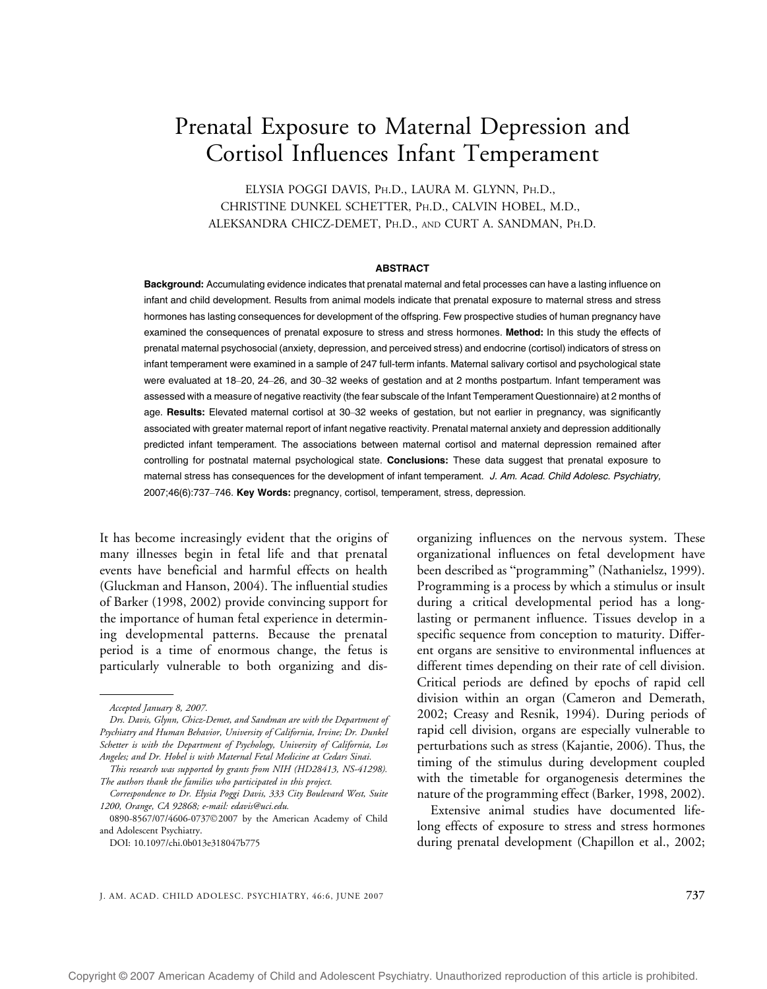# Prenatal Exposure to Maternal Depression and Cortisol Influences Infant Temperament

ELYSIA POGGI DAVIS, PH.D., LAURA M. GLYNN, PH.D., CHRISTINE DUNKEL SCHETTER, PH.D., CALVIN HOBEL, M.D., ALEKSANDRA CHICZ-DEMET, PH.D., AND CURT A. SANDMAN, PH.D.

#### **ABSTRACT**

Background: Accumulating evidence indicates that prenatal maternal and fetal processes can have a lasting influence on infant and child development. Results from animal models indicate that prenatal exposure to maternal stress and stress hormones has lasting consequences for development of the offspring. Few prospective studies of human pregnancy have examined the consequences of prenatal exposure to stress and stress hormones. Method: In this study the effects of prenatal maternal psychosocial (anxiety, depression, and perceived stress) and endocrine (cortisol) indicators of stress on infant temperament were examined in a sample of 247 full-term infants. Maternal salivary cortisol and psychological state were evaluated at 18-20, 24-26, and 30-32 weeks of gestation and at 2 months postpartum. Infant temperament was assessed with a measure of negative reactivity (the fear subscale of the Infant Temperament Questionnaire) at 2 months of age. Results: Elevated maternal cortisol at 30-32 weeks of gestation, but not earlier in pregnancy, was significantly associated with greater maternal report of infant negative reactivity. Prenatal maternal anxiety and depression additionally predicted infant temperament. The associations between maternal cortisol and maternal depression remained after controlling for postnatal maternal psychological state. Conclusions: These data suggest that prenatal exposure to maternal stress has consequences for the development of infant temperament. J. Am. Acad. Child Adolesc. Psychiatry, 2007;46(6):737-746. Key Words: pregnancy, cortisol, temperament, stress, depression.

It has become increasingly evident that the origins of many illnesses begin in fetal life and that prenatal events have beneficial and harmful effects on health (Gluckman and Hanson, 2004). The influential studies of Barker (1998, 2002) provide convincing support for the importance of human fetal experience in determining developmental patterns. Because the prenatal period is a time of enormous change, the fetus is particularly vulnerable to both organizing and dis-

organizing influences on the nervous system. These organizational influences on fetal development have been described as "programming" (Nathanielsz, 1999). Programming is a process by which a stimulus or insult during a critical developmental period has a longlasting or permanent influence. Tissues develop in a specific sequence from conception to maturity. Different organs are sensitive to environmental influences at different times depending on their rate of cell division. Critical periods are defined by epochs of rapid cell division within an organ (Cameron and Demerath, 2002; Creasy and Resnik, 1994). During periods of rapid cell division, organs are especially vulnerable to perturbations such as stress (Kajantie, 2006). Thus, the timing of the stimulus during development coupled with the timetable for organogenesis determines the nature of the programming effect (Barker, 1998, 2002).

Extensive animal studies have documented lifelong effects of exposure to stress and stress hormones during prenatal development (Chapillon et al., 2002;

Accepted January 8, 2007.

Drs. Davis, Glynn, Chicz-Demet, and Sandman are with the Department of Psychiatry and Human Behavior, University of California, Irvine; Dr. Dunkel Schetter is with the Department of Psychology, University of California, Los Angeles; and Dr. Hobel is with Maternal Fetal Medicine at Cedars Sinai.

This research was supported by grants from NIH (HD28413, NS-41298). The authors thank the families who participated in this project.

Correspondence to Dr. Elysia Poggi Davis, 333 City Boulevard West, Suite 1200, Orange, CA 92868; e-mail: edavis@uci.edu.

<sup>0890-8567/07/4606-0737©2007</sup> by the American Academy of Child and Adolescent Psychiatry.

DOI: 10.1097/chi.0b013e318047b775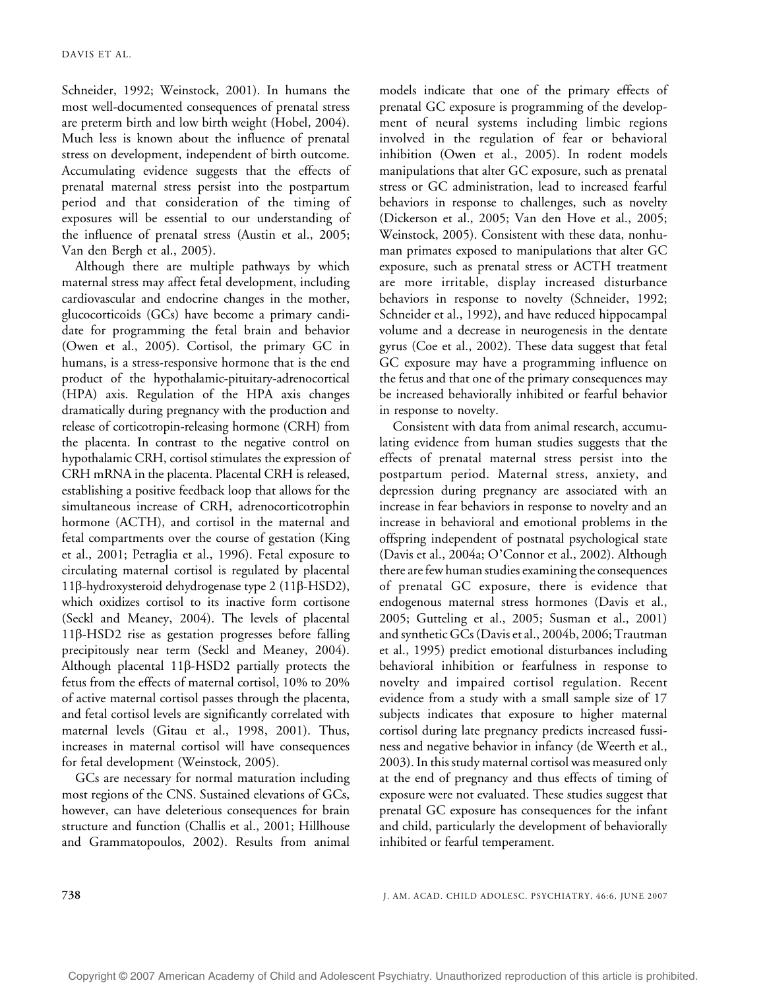Schneider, 1992; Weinstock, 2001). In humans the most well-documented consequences of prenatal stress are preterm birth and low birth weight (Hobel, 2004). Much less is known about the influence of prenatal stress on development, independent of birth outcome. Accumulating evidence suggests that the effects of prenatal maternal stress persist into the postpartum period and that consideration of the timing of exposures will be essential to our understanding of the influence of prenatal stress (Austin et al., 2005; Van den Bergh et al., 2005).

Although there are multiple pathways by which maternal stress may affect fetal development, including cardiovascular and endocrine changes in the mother, glucocorticoids (GCs) have become a primary candidate for programming the fetal brain and behavior (Owen et al., 2005). Cortisol, the primary GC in humans, is a stress-responsive hormone that is the end product of the hypothalamic-pituitary-adrenocortical (HPA) axis. Regulation of the HPA axis changes dramatically during pregnancy with the production and release of corticotropin-releasing hormone (CRH) from the placenta. In contrast to the negative control on hypothalamic CRH, cortisol stimulates the expression of CRH mRNA in the placenta. Placental CRH is released, establishing a positive feedback loop that allows for the simultaneous increase of CRH, adrenocorticotrophin hormone (ACTH), and cortisol in the maternal and fetal compartments over the course of gestation (King et al., 2001; Petraglia et al., 1996). Fetal exposure to circulating maternal cortisol is regulated by placental  $11\beta$ -hydroxysteroid dehydrogenase type 2 (11 $\beta$ -HSD2), which oxidizes cortisol to its inactive form cortisone (Seckl and Meaney, 2004). The levels of placental  $11\beta$ -HSD2 rise as gestation progresses before falling precipitously near term (Seckl and Meaney, 2004). Although placental  $11\beta$ -HSD2 partially protects the fetus from the effects of maternal cortisol, 10% to 20% of active maternal cortisol passes through the placenta, and fetal cortisol levels are significantly correlated with maternal levels (Gitau et al., 1998, 2001). Thus, increases in maternal cortisol will have consequences for fetal development (Weinstock, 2005).

GCs are necessary for normal maturation including most regions of the CNS. Sustained elevations of GCs, however, can have deleterious consequences for brain structure and function (Challis et al., 2001; Hillhouse and Grammatopoulos, 2002). Results from animal

models indicate that one of the primary effects of prenatal GC exposure is programming of the development of neural systems including limbic regions involved in the regulation of fear or behavioral inhibition (Owen et al., 2005). In rodent models manipulations that alter GC exposure, such as prenatal stress or GC administration, lead to increased fearful behaviors in response to challenges, such as novelty (Dickerson et al., 2005; Van den Hove et al., 2005; Weinstock, 2005). Consistent with these data, nonhuman primates exposed to manipulations that alter GC exposure, such as prenatal stress or ACTH treatment are more irritable, display increased disturbance behaviors in response to novelty (Schneider, 1992; Schneider et al., 1992), and have reduced hippocampal volume and a decrease in neurogenesis in the dentate gyrus (Coe et al., 2002). These data suggest that fetal GC exposure may have a programming influence on the fetus and that one of the primary consequences may be increased behaviorally inhibited or fearful behavior in response to novelty.

Consistent with data from animal research, accumulating evidence from human studies suggests that the effects of prenatal maternal stress persist into the postpartum period. Maternal stress, anxiety, and depression during pregnancy are associated with an increase in fear behaviors in response to novelty and an increase in behavioral and emotional problems in the offspring independent of postnatal psychological state (Davis et al., 2004a; O'Connor et al., 2002). Although there are few human studies examining the consequences of prenatal GC exposure, there is evidence that endogenous maternal stress hormones (Davis et al., 2005; Gutteling et al., 2005; Susman et al., 2001) and synthetic GCs (Davis et al., 2004b, 2006; Trautman et al., 1995) predict emotional disturbances including behavioral inhibition or fearfulness in response to novelty and impaired cortisol regulation. Recent evidence from a study with a small sample size of 17 subjects indicates that exposure to higher maternal cortisol during late pregnancy predicts increased fussiness and negative behavior in infancy (de Weerth et al., 2003). In this study maternal cortisol was measured only at the end of pregnancy and thus effects of timing of exposure were not evaluated. These studies suggest that prenatal GC exposure has consequences for the infant and child, particularly the development of behaviorally inhibited or fearful temperament.

738 J. AM. ACAD. CHILD ADOLESC. PSYCHIATRY, 46:6, JUNE 2007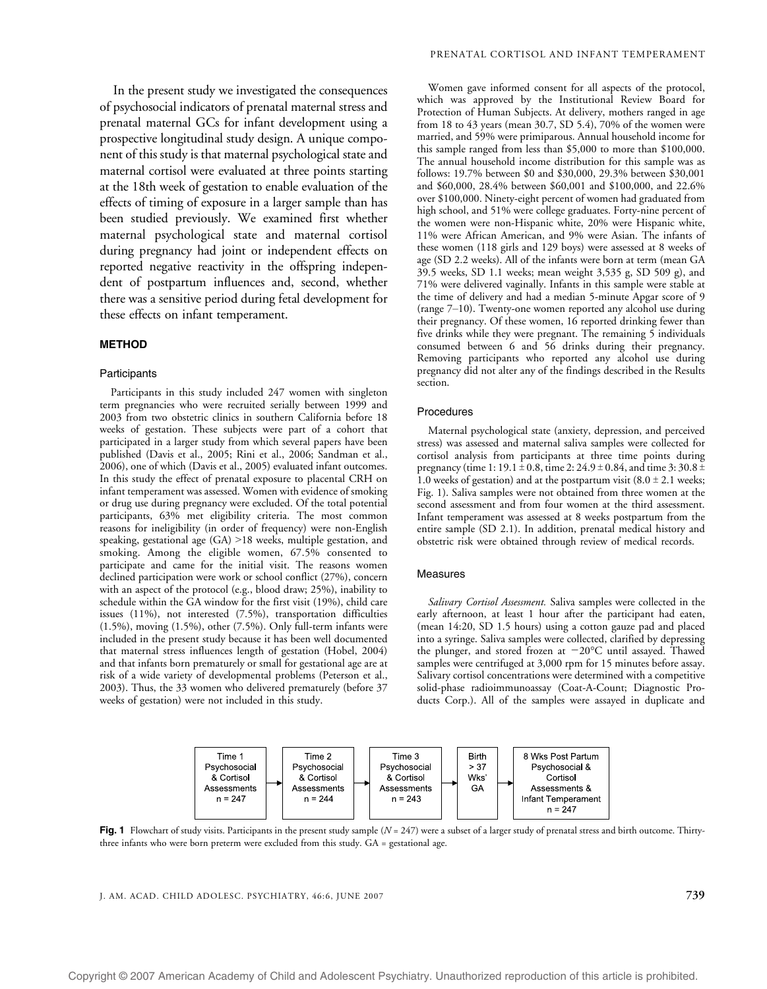In the present study we investigated the consequences of psychosocial indicators of prenatal maternal stress and prenatal maternal GCs for infant development using a prospective longitudinal study design. A unique component of this study is that maternal psychological state and maternal cortisol were evaluated at three points starting at the 18th week of gestation to enable evaluation of the effects of timing of exposure in a larger sample than has been studied previously. We examined first whether maternal psychological state and maternal cortisol during pregnancy had joint or independent effects on reported negative reactivity in the offspring independent of postpartum influences and, second, whether there was a sensitive period during fetal development for these effects on infant temperament.

# **METHOD**

#### Participants

Participants in this study included 247 women with singleton term pregnancies who were recruited serially between 1999 and 2003 from two obstetric clinics in southern California before 18 weeks of gestation. These subjects were part of a cohort that participated in a larger study from which several papers have been published (Davis et al., 2005; Rini et al., 2006; Sandman et al., 2006), one of which (Davis et al., 2005) evaluated infant outcomes. In this study the effect of prenatal exposure to placental CRH on infant temperament was assessed. Women with evidence of smoking or drug use during pregnancy were excluded. Of the total potential participants, 63% met eligibility criteria. The most common reasons for ineligibility (in order of frequency) were non-English speaking, gestational age (GA) >18 weeks, multiple gestation, and smoking. Among the eligible women, 67.5% consented to participate and came for the initial visit. The reasons women declined participation were work or school conflict (27%), concern with an aspect of the protocol (e.g., blood draw; 25%), inability to schedule within the GA window for the first visit (19%), child care issues (11%), not interested (7.5%), transportation difficulties (1.5%), moving (1.5%), other (7.5%). Only full-term infants were included in the present study because it has been well documented that maternal stress influences length of gestation (Hobel, 2004) and that infants born prematurely or small for gestational age are at risk of a wide variety of developmental problems (Peterson et al., 2003). Thus, the 33 women who delivered prematurely (before 37 weeks of gestation) were not included in this study.

Women gave informed consent for all aspects of the protocol, which was approved by the Institutional Review Board for Protection of Human Subjects. At delivery, mothers ranged in age from 18 to 43 years (mean 30.7, SD 5.4), 70% of the women were married, and 59% were primiparous. Annual household income for this sample ranged from less than \$5,000 to more than \$100,000. The annual household income distribution for this sample was as follows: 19.7% between \$0 and \$30,000, 29.3% between \$30,001 and \$60,000, 28.4% between \$60,001 and \$100,000, and 22.6% over \$100,000. Ninety-eight percent of women had graduated from high school, and 51% were college graduates. Forty-nine percent of the women were non-Hispanic white, 20% were Hispanic white, 11% were African American, and 9% were Asian. The infants of these women (118 girls and 129 boys) were assessed at 8 weeks of age (SD 2.2 weeks). All of the infants were born at term (mean GA 39.5 weeks, SD 1.1 weeks; mean weight 3,535 g, SD 509 g), and 71% were delivered vaginally. Infants in this sample were stable at the time of delivery and had a median 5-minute Apgar score of 9 (range  $7-10$ ). Twenty-one women reported any alcohol use during their pregnancy. Of these women, 16 reported drinking fewer than five drinks while they were pregnant. The remaining 5 individuals consumed between 6 and 56 drinks during their pregnancy. Removing participants who reported any alcohol use during pregnancy did not alter any of the findings described in the Results section.

## Procedures

Maternal psychological state (anxiety, depression, and perceived stress) was assessed and maternal saliva samples were collected for cortisol analysis from participants at three time points during pregnancy (time 1: 19.1  $\pm$  0.8, time 2: 24.9  $\pm$  0.84, and time 3: 30.8  $\pm$ 1.0 weeks of gestation) and at the postpartum visit  $(8.0 \pm 2.1$  weeks; Fig. 1). Saliva samples were not obtained from three women at the second assessment and from four women at the third assessment. Infant temperament was assessed at 8 weeks postpartum from the entire sample (SD 2.1). In addition, prenatal medical history and obstetric risk were obtained through review of medical records.

## Measures

Salivary Cortisol Assessment. Saliva samples were collected in the early afternoon, at least 1 hour after the participant had eaten, (mean 14:20, SD 1.5 hours) using a cotton gauze pad and placed into a syringe. Saliva samples were collected, clarified by depressing the plunger, and stored frozen at  $-20^{\circ}$ C until assayed. Thawed samples were centrifuged at 3,000 rpm for 15 minutes before assay. Salivary cortisol concentrations were determined with a competitive solid-phase radioimmunoassay (Coat-A-Count; Diagnostic Products Corp.). All of the samples were assayed in duplicate and



Fig. 1 Flowchart of study visits. Participants in the present study sample  $(N = 247)$  were a subset of a larger study of prenatal stress and birth outcome. Thirtythree infants who were born preterm were excluded from this study. GA = gestational age.

J. AM. ACAD. CHILD ADOLESC. PSYCHIATRY, 46:6, JUNE 2007 739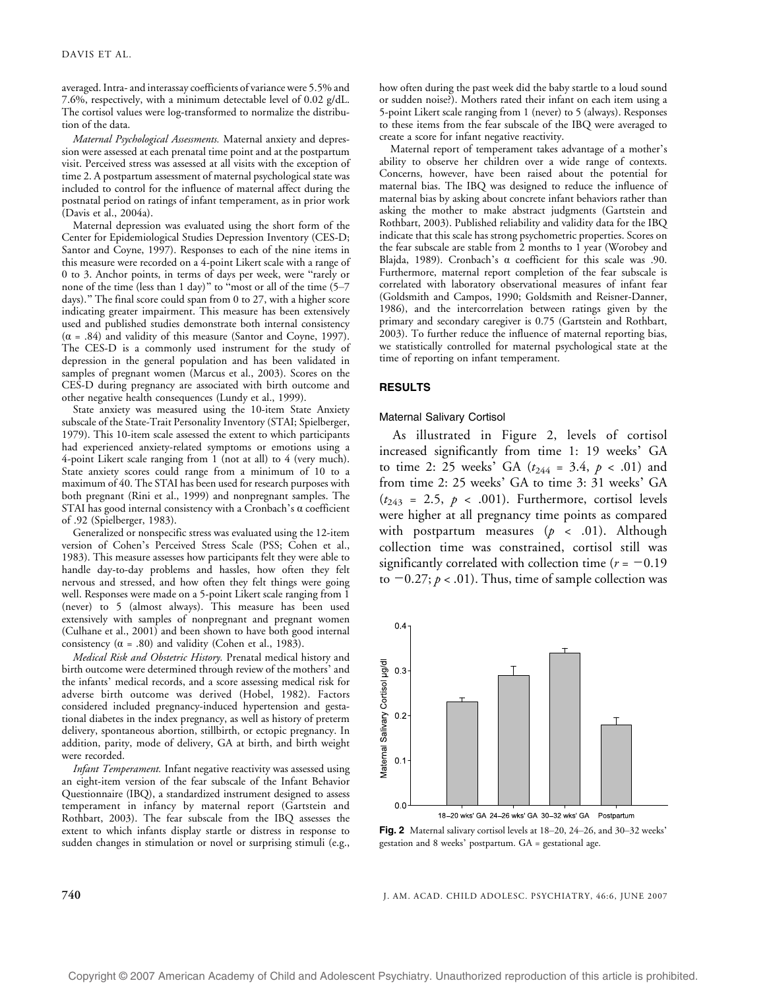averaged. Intra- and interassay coefficients of variance were 5.5% and 7.6%, respectively, with a minimum detectable level of 0.02 g/dL. The cortisol values were log-transformed to normalize the distribution of the data.

Maternal Psychological Assessments. Maternal anxiety and depression were assessed at each prenatal time point and at the postpartum visit. Perceived stress was assessed at all visits with the exception of time 2. A postpartum assessment of maternal psychological state was included to control for the influence of maternal affect during the postnatal period on ratings of infant temperament, as in prior work (Davis et al., 2004a).

Maternal depression was evaluated using the short form of the Center for Epidemiological Studies Depression Inventory (CES-D; Santor and Coyne, 1997). Responses to each of the nine items in this measure were recorded on a 4-point Likert scale with a range of 0 to 3. Anchor points, in terms of days per week, were "rarely or none of the time (less than 1 day)" to "most or all of the time  $(5-7)$ days)." The final score could span from 0 to 27, with a higher score indicating greater impairment. This measure has been extensively used and published studies demonstrate both internal consistency  $(\alpha = .84)$  and validity of this measure (Santor and Coyne, 1997). The CES-D is a commonly used instrument for the study of depression in the general population and has been validated in samples of pregnant women (Marcus et al., 2003). Scores on the CES-D during pregnancy are associated with birth outcome and other negative health consequences (Lundy et al., 1999).

State anxiety was measured using the 10-item State Anxiety subscale of the State-Trait Personality Inventory (STAI; Spielberger, 1979). This 10-item scale assessed the extent to which participants had experienced anxiety-related symptoms or emotions using a 4-point Likert scale ranging from 1 (not at all) to 4 (very much). State anxiety scores could range from a minimum of 10 to a maximum of 40. The STAI has been used for research purposes with both pregnant (Rini et al., 1999) and nonpregnant samples. The STAI has good internal consistency with a Cronbach's  $\alpha$  coefficient of .92 (Spielberger, 1983).

Generalized or nonspecific stress was evaluated using the 12-item version of Cohen's Perceived Stress Scale (PSS; Cohen et al., 1983). This measure assesses how participants felt they were able to handle day-to-day problems and hassles, how often they felt nervous and stressed, and how often they felt things were going well. Responses were made on a 5-point Likert scale ranging from 1 (never) to 5 (almost always). This measure has been used extensively with samples of nonpregnant and pregnant women (Culhane et al., 2001) and been shown to have both good internal consistency ( $\alpha$  = .80) and validity (Cohen et al., 1983).

Medical Risk and Obstetric History. Prenatal medical history and birth outcome were determined through review of the mothers' and the infants' medical records, and a score assessing medical risk for adverse birth outcome was derived (Hobel, 1982). Factors considered included pregnancy-induced hypertension and gestational diabetes in the index pregnancy, as well as history of preterm delivery, spontaneous abortion, stillbirth, or ectopic pregnancy. In addition, parity, mode of delivery, GA at birth, and birth weight were recorded.

Infant Temperament. Infant negative reactivity was assessed using an eight-item version of the fear subscale of the Infant Behavior Questionnaire (IBQ), a standardized instrument designed to assess temperament in infancy by maternal report (Gartstein and Rothbart, 2003). The fear subscale from the IBQ assesses the extent to which infants display startle or distress in response to sudden changes in stimulation or novel or surprising stimuli (e.g.,

how often during the past week did the baby startle to a loud sound or sudden noise?). Mothers rated their infant on each item using a 5-point Likert scale ranging from 1 (never) to 5 (always). Responses to these items from the fear subscale of the IBQ were averaged to create a score for infant negative reactivity.

Maternal report of temperament takes advantage of a mother's ability to observe her children over a wide range of contexts. Concerns, however, have been raised about the potential for maternal bias. The IBQ was designed to reduce the influence of maternal bias by asking about concrete infant behaviors rather than asking the mother to make abstract judgments (Gartstein and Rothbart, 2003). Published reliability and validity data for the IBQ indicate that this scale has strong psychometric properties. Scores on the fear subscale are stable from 2 months to 1 year (Worobey and Blajda, 1989). Cronbach's  $\alpha$  coefficient for this scale was .90. Furthermore, maternal report completion of the fear subscale is correlated with laboratory observational measures of infant fear (Goldsmith and Campos, 1990; Goldsmith and Reisner-Danner, 1986), and the intercorrelation between ratings given by the primary and secondary caregiver is 0.75 (Gartstein and Rothbart, 2003). To further reduce the influence of maternal reporting bias, we statistically controlled for maternal psychological state at the time of reporting on infant temperament.

#### RESULTS

#### Maternal Salivary Cortisol

As illustrated in Figure 2, levels of cortisol increased significantly from time 1: 19 weeks' GA to time 2: 25 weeks' GA ( $t_{244} = 3.4$ ,  $p < .01$ ) and from time 2: 25 weeks' GA to time 3: 31 weeks' GA  $(t_{243} = 2.5, p < .001)$ . Furthermore, cortisol levels were higher at all pregnancy time points as compared with postpartum measures ( $p \lt 0.01$ ). Although collection time was constrained, cortisol still was significantly correlated with collection time ( $r = -0.19$ ) to  $-0.27$ ;  $p < .01$ ). Thus, time of sample collection was





740 J. AM. ACAD. CHILD ADOLESC. PSYCHIATRY, 46:6, JUNE 2007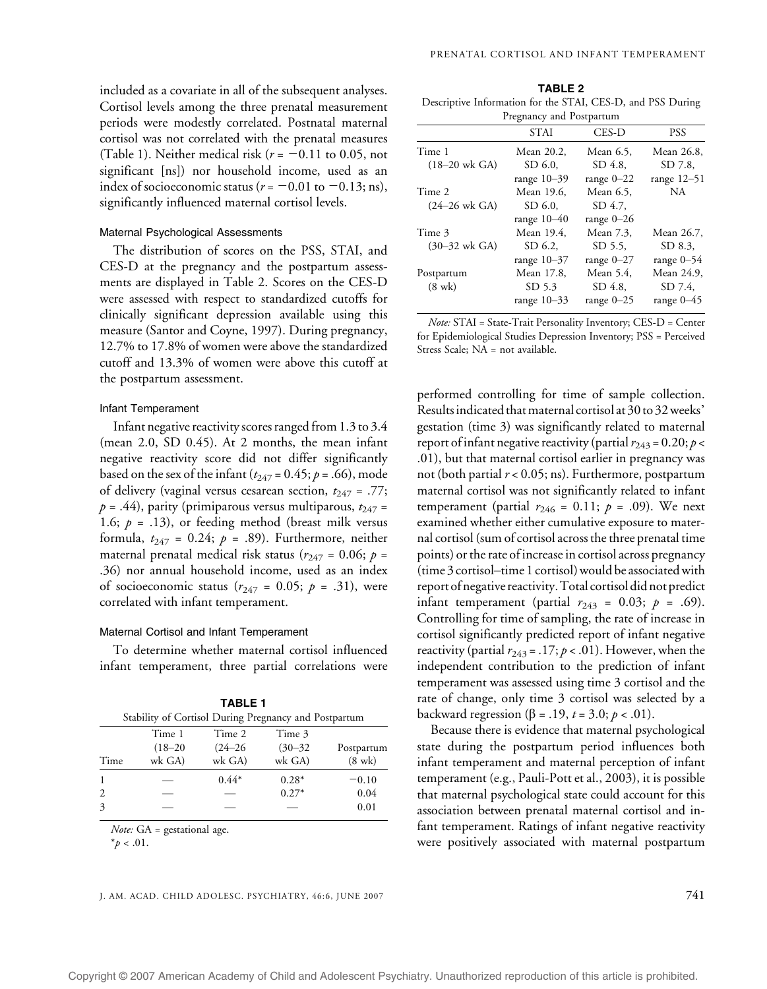included as a covariate in all of the subsequent analyses. Cortisol levels among the three prenatal measurement periods were modestly correlated. Postnatal maternal cortisol was not correlated with the prenatal measures (Table 1). Neither medical risk ( $r = -0.11$  to 0.05, not significant [ns]) nor household income, used as an index of socioeconomic status ( $r = -0.01$  to  $-0.13$ ; ns), significantly influenced maternal cortisol levels.

#### Maternal Psychological Assessments

The distribution of scores on the PSS, STAI, and CES-D at the pregnancy and the postpartum assessments are displayed in Table 2. Scores on the CES-D were assessed with respect to standardized cutoffs for clinically significant depression available using this measure (Santor and Coyne, 1997). During pregnancy, 12.7% to 17.8% of women were above the standardized cutoff and 13.3% of women were above this cutoff at the postpartum assessment.

#### Infant Temperament

Infant negative reactivity scores ranged from 1.3 to 3.4 (mean 2.0, SD 0.45). At 2 months, the mean infant negative reactivity score did not differ significantly based on the sex of the infant ( $t_{247}$  = 0.45;  $p$  = .66), mode of delivery (vaginal versus cesarean section,  $t_{247} = .77$ ;  $p = .44$ ), parity (primiparous versus multiparous,  $t_{247} =$ 1.6;  $p = .13$ ), or feeding method (breast milk versus formula,  $t_{247}$  = 0.24;  $p = .89$ ). Furthermore, neither maternal prenatal medical risk status ( $r_{247}$  = 0.06;  $p =$ .36) nor annual household income, used as an index of socioeconomic status ( $r_{247} = 0.05$ ;  $p = .31$ ), were correlated with infant temperament.

#### Maternal Cortisol and Infant Temperament

To determine whether maternal cortisol influenced infant temperament, three partial correlations were

| <b>TABLE 1</b><br>Stability of Cortisol During Pregnancy and Postpartum |             |             |             |                  |
|-------------------------------------------------------------------------|-------------|-------------|-------------|------------------|
|                                                                         |             |             |             |                  |
|                                                                         | $(18 - 20)$ | $(24 - 26)$ | $(30 - 32)$ | Postpartum       |
| Time                                                                    | wk GA)      | wk GA)      | wk GA)      | $(8 \text{ wk})$ |
|                                                                         |             | $0.44*$     | $0.28*$     | $-0.10$          |
| 2                                                                       |             |             | $0.27*$     | 0.04             |
| 3                                                                       |             |             |             | 0.01             |
|                                                                         |             |             |             |                  |

Note: GA = gestational age.  $*_{p}$  < .01.

#### J. AM. ACAD. CHILD ADOLESC. PSYCHIATRY, 46:6, JUNE 2007 741

| TABLE 2                                                     |
|-------------------------------------------------------------|
| Descriptive Information for the STAI, CES-D, and PSS During |
| Pregnancy and Postpartum                                    |

| <b>STAI</b>   | CES-D        | <b>PSS</b>     |
|---------------|--------------|----------------|
| Mean 20.2,    | Mean 6.5,    | Mean 26.8,     |
| SD 6.0,       | SD 4.8,      | SD 7.8,        |
| range 10-39   | range $0-22$ | range $12-51$  |
| Mean 19.6,    | Mean 6.5,    | <b>NA</b>      |
| SD 6.0        | SD 4.7,      |                |
| range $10-40$ | range $0-26$ |                |
| Mean 19.4,    | Mean 7.3,    | Mean 26.7,     |
| SD 6.2,       | $SD$ 5.5.    | SD 8.3,        |
| range $10-37$ | range $0-27$ | range $0-54$   |
| Mean 17.8,    | Mean 5.4,    | Mean 24.9,     |
| SD 5.3        | SD 4.8.      | SD 7.4,        |
| range 10-33   | range $0-25$ | range $0 - 45$ |
|               |              | 1.2            |

Note: STAI = State-Trait Personality Inventory; CES-D = Center for Epidemiological Studies Depression Inventory; PSS = Perceived Stress Scale; NA = not available.

performed controlling for time of sample collection. Results indicated that maternal cortisol at 30 to 32 weeks' gestation (time 3) was significantly related to maternal report of infant negative reactivity (partial  $r_{243} = 0.20; p <$ .01), but that maternal cortisol earlier in pregnancy was not (both partial  $r < 0.05$ ; ns). Furthermore, postpartum maternal cortisol was not significantly related to infant temperament (partial  $r_{246} = 0.11$ ;  $p = .09$ ). We next examined whether either cumulative exposure to maternal cortisol (sum of cortisol across the three prenatal time points) or the rate of increase in cortisol across pregnancy  $(time 3$  cortisol-time 1 cortisol) would be associated with report of negative reactivity. Total cortisol did not predict infant temperament (partial  $r_{243} = 0.03; p = .69$ ). Controlling for time of sampling, the rate of increase in cortisol significantly predicted report of infant negative reactivity (partial  $r_{243} = .17; p < .01$ ). However, when the independent contribution to the prediction of infant temperament was assessed using time 3 cortisol and the rate of change, only time 3 cortisol was selected by a backward regression (β = .19, t = 3.0; p < .01).

Because there is evidence that maternal psychological state during the postpartum period influences both infant temperament and maternal perception of infant temperament (e.g., Pauli-Pott et al., 2003), it is possible that maternal psychological state could account for this association between prenatal maternal cortisol and infant temperament. Ratings of infant negative reactivity were positively associated with maternal postpartum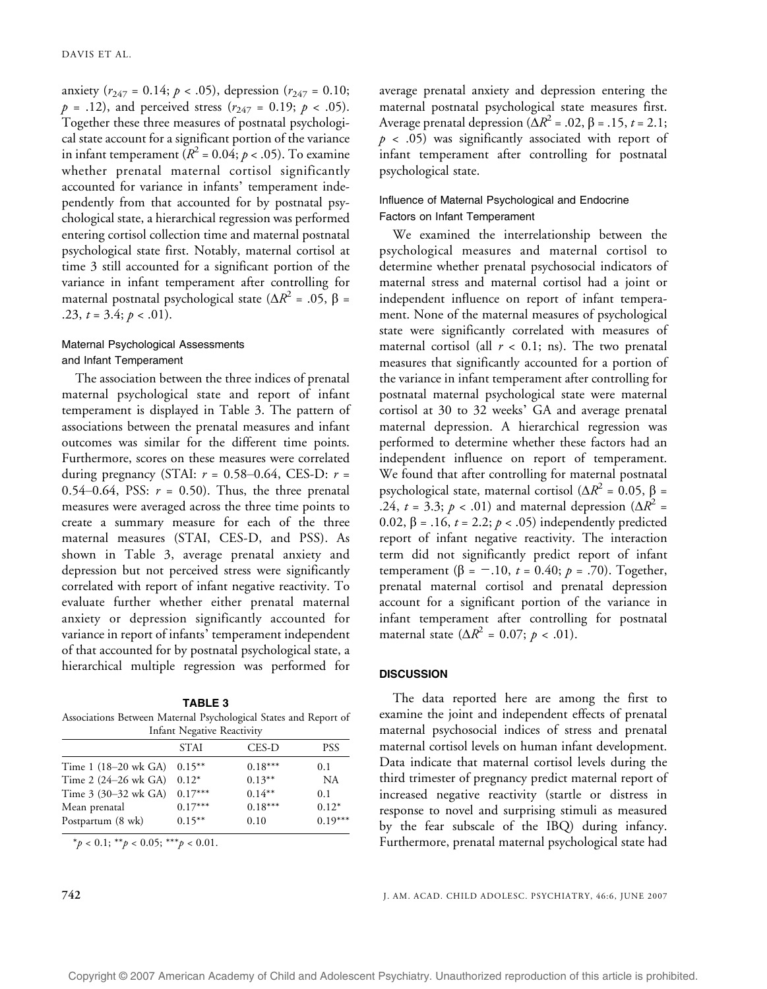anxiety ( $r_{247} = 0.14$ ;  $p < .05$ ), depression ( $r_{247} = 0.10$ ;  $p = .12$ , and perceived stress ( $r_{247} = 0.19$ ;  $p < .05$ ). Together these three measures of postnatal psychological state account for a significant portion of the variance in infant temperament ( $R^2$  = 0.04;  $p$  < .05). To examine whether prenatal maternal cortisol significantly accounted for variance in infants' temperament independently from that accounted for by postnatal psychological state, a hierarchical regression was performed entering cortisol collection time and maternal postnatal psychological state first. Notably, maternal cortisol at time 3 still accounted for a significant portion of the variance in infant temperament after controlling for maternal postnatal psychological state ( $\Delta R^2$  = .05,  $\beta$  = .23,  $t = 3.4$ ;  $p < .01$ ).

# Maternal Psychological Assessments and Infant Temperament

The association between the three indices of prenatal maternal psychological state and report of infant temperament is displayed in Table 3. The pattern of associations between the prenatal measures and infant outcomes was similar for the different time points. Furthermore, scores on these measures were correlated during pregnancy (STAI:  $r = 0.58{\text -}0.64$ , CES-D:  $r =$ 0.54–0.64, PSS:  $r = 0.50$ ). Thus, the three prenatal measures were averaged across the three time points to create a summary measure for each of the three maternal measures (STAI, CES-D, and PSS). As shown in Table 3, average prenatal anxiety and depression but not perceived stress were significantly correlated with report of infant negative reactivity. To evaluate further whether either prenatal maternal anxiety or depression significantly accounted for variance in report of infants' temperament independent of that accounted for by postnatal psychological state, a hierarchical multiple regression was performed for

|                                                                  |  | <b>TABLE 3</b> |  |  |  |
|------------------------------------------------------------------|--|----------------|--|--|--|
| Associations Between Maternal Psychological States and Report of |  |                |  |  |  |
|                                                                  |  |                |  |  |  |

| <b>Infant Negative Reactivity</b> |             |           |            |  |
|-----------------------------------|-------------|-----------|------------|--|
|                                   | <b>STAI</b> | CES-D     | <b>PSS</b> |  |
| Time 1 (18–20 wk GA)              | $0.15***$   | $0.18***$ | 0.1        |  |
| Time $2(24-26 \text{ wk } GA)$    | $0.12*$     | $0.13***$ | NA         |  |
| Time 3 (30–32 wk GA)              | $0.17***$   | $0.14***$ | 0.1        |  |
| Mean prenatal                     | $0.17***$   | $0.18***$ | $0.12*$    |  |
| Postpartum (8 wk)                 | $0.15***$   | 0.10      | $0.19***$  |  |

\*p < 0.1; \*\*p < 0.05; \*\*\*p < 0.01.

average prenatal anxiety and depression entering the maternal postnatal psychological state measures first. Average prenatal depression ( $\Delta R^2$  = .02,  $\beta$  = .15,  $t$  = 2.1;  $p \lt 0.05$ ) was significantly associated with report of infant temperament after controlling for postnatal psychological state.

# Influence of Maternal Psychological and Endocrine Factors on Infant Temperament

We examined the interrelationship between the psychological measures and maternal cortisol to determine whether prenatal psychosocial indicators of maternal stress and maternal cortisol had a joint or independent influence on report of infant temperament. None of the maternal measures of psychological state were significantly correlated with measures of maternal cortisol (all  $r < 0.1$ ; ns). The two prenatal measures that significantly accounted for a portion of the variance in infant temperament after controlling for postnatal maternal psychological state were maternal cortisol at 30 to 32 weeks' GA and average prenatal maternal depression. A hierarchical regression was performed to determine whether these factors had an independent influence on report of temperament. We found that after controlling for maternal postnatal psychological state, maternal cortisol ( $\Delta R^2$  = 0.05,  $\beta$  = .24,  $t = 3.3$ ;  $p < .01$ ) and maternal depression ( $\Delta R^2$  = 0.02,  $\beta$  = .16,  $t = 2.2$ ;  $p < .05$ ) independently predicted report of infant negative reactivity. The interaction term did not significantly predict report of infant temperament ( $\beta = -10$ ,  $t = 0.40$ ;  $p = .70$ ). Together, prenatal maternal cortisol and prenatal depression account for a significant portion of the variance in infant temperament after controlling for postnatal maternal state ( $\Delta R^2 = 0.07$ ;  $p < .01$ ).

# **DISCUSSION**

The data reported here are among the first to examine the joint and independent effects of prenatal maternal psychosocial indices of stress and prenatal maternal cortisol levels on human infant development. Data indicate that maternal cortisol levels during the third trimester of pregnancy predict maternal report of increased negative reactivity (startle or distress in response to novel and surprising stimuli as measured by the fear subscale of the IBQ) during infancy. Furthermore, prenatal maternal psychological state had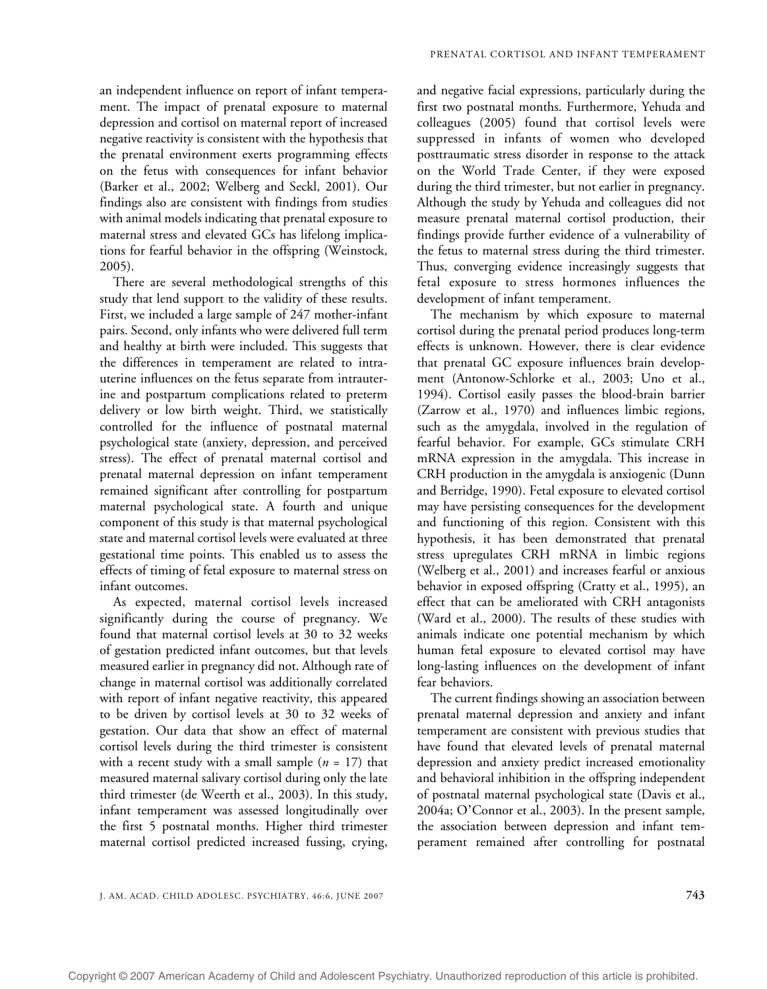an independent influence on report of infant temperament. The impact of prenatal exposure to maternal depression and cortisol on maternal report of increased negative reactivity is consistent with the hypothesis that the prenatal environment exerts programming effects on the fetus with consequences for infant behavior (Barker et al., 2002; Welberg and Seckl, 2001). Our findings also are consistent with findings from studies with animal models indicating that prenatal exposure to maternal stress and elevated GCs has lifelong implications for fearful behavior in the offspring (Weinstock, 2005).

There are several methodological strengths of this study that lend support to the validity of these results. First, we included a large sample of 247 mother-infant pairs. Second, only infants who were delivered full term and healthy at birth were included. This suggests that the differences in temperament are related to intrauterine influences on the fetus separate from intrauterine and postpartum complications related to preterm delivery or low birth weight. Third, we statistically controlled for the influence of postnatal maternal psychological state (anxiety, depression, and perceived stress). The effect of prenatal maternal cortisol and prenatal maternal depression on infant temperament remained significant after controlling for postpartum maternal psychological state. A fourth and unique component of this study is that maternal psychological state and maternal cortisol levels were evaluated at three gestational time points. This enabled us to assess the effects of timing of fetal exposure to maternal stress on infant outcomes.

As expected, maternal cortisol levels increased significantly during the course of pregnancy. We found that maternal cortisol levels at 30 to 32 weeks of gestation predicted infant outcomes, but that levels measured earlier in pregnancy did not. Although rate of change in maternal cortisol was additionally correlated with report of infant negative reactivity, this appeared to be driven by cortisol levels at 30 to 32 weeks of gestation. Our data that show an effect of maternal cortisol levels during the third trimester is consistent with a recent study with a small sample ( $n = 17$ ) that measured maternal salivary cortisol during only the late third trimester (de Weerth et al., 2003). In this study, infant temperament was assessed longitudinally over the first 5 postnatal months. Higher third trimester maternal cortisol predicted increased fussing, crying,

and negative facial expressions, particularly during the first two postnatal months. Furthermore, Yehuda and colleagues (2005) found that cortisol levels were suppressed in infants of women who developed posttraumatic stress disorder in response to the attack on the World Trade Center, if they were exposed during the third trimester, but not earlier in pregnancy. Although the study by Yehuda and colleagues did not measure prenatal maternal cortisol production, their findings provide further evidence of a vulnerability of the fetus to maternal stress during the third trimester. Thus, converging evidence increasingly suggests that fetal exposure to stress hormones influences the development of infant temperament.

The mechanism by which exposure to maternal cortisol during the prenatal period produces long-term effects is unknown. However, there is clear evidence that prenatal GC exposure influences brain development (Antonow-Schlorke et al., 2003; Uno et al., 1994). Cortisol easily passes the blood-brain barrier (Zarrow et al., 1970) and influences limbic regions, such as the amygdala, involved in the regulation of fearful behavior. For example, GCs stimulate CRH mRNA expression in the amygdala. This increase in CRH production in the amygdala is anxiogenic (Dunn and Berridge, 1990). Fetal exposure to elevated cortisol may have persisting consequences for the development and functioning of this region. Consistent with this hypothesis, it has been demonstrated that prenatal stress upregulates CRH mRNA in limbic regions (Welberg et al., 2001) and increases fearful or anxious behavior in exposed offspring (Cratty et al., 1995), an effect that can be ameliorated with CRH antagonists (Ward et al., 2000). The results of these studies with animals indicate one potential mechanism by which human fetal exposure to elevated cortisol may have long-lasting influences on the development of infant fear behaviors.

The current findings showing an association between prenatal maternal depression and anxiety and infant temperament are consistent with previous studies that have found that elevated levels of prenatal maternal depression and anxiety predict increased emotionality and behavioral inhibition in the offspring independent of postnatal maternal psychological state (Davis et al., 2004a; O'Connor et al., 2003). In the present sample, the association between depression and infant temperament remained after controlling for postnatal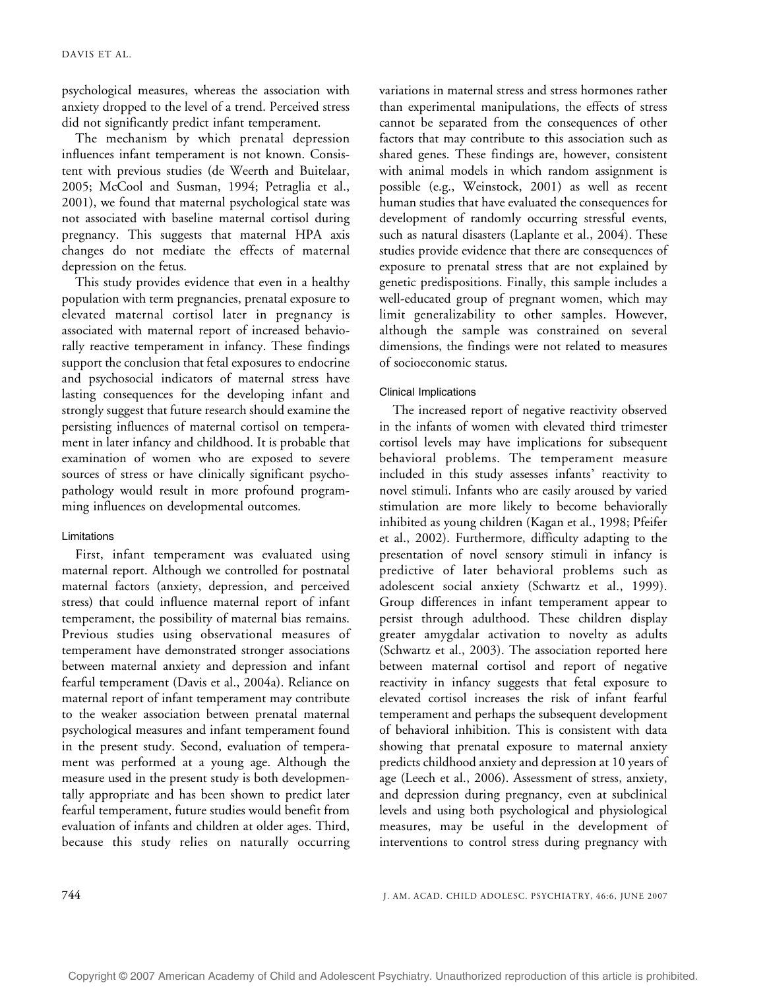psychological measures, whereas the association with anxiety dropped to the level of a trend. Perceived stress did not significantly predict infant temperament.

The mechanism by which prenatal depression influences infant temperament is not known. Consistent with previous studies (de Weerth and Buitelaar, 2005; McCool and Susman, 1994; Petraglia et al., 2001), we found that maternal psychological state was not associated with baseline maternal cortisol during pregnancy. This suggests that maternal HPA axis changes do not mediate the effects of maternal depression on the fetus.

This study provides evidence that even in a healthy population with term pregnancies, prenatal exposure to elevated maternal cortisol later in pregnancy is associated with maternal report of increased behaviorally reactive temperament in infancy. These findings support the conclusion that fetal exposures to endocrine and psychosocial indicators of maternal stress have lasting consequences for the developing infant and strongly suggest that future research should examine the persisting influences of maternal cortisol on temperament in later infancy and childhood. It is probable that examination of women who are exposed to severe sources of stress or have clinically significant psychopathology would result in more profound programming influences on developmental outcomes.

# Limitations

First, infant temperament was evaluated using maternal report. Although we controlled for postnatal maternal factors (anxiety, depression, and perceived stress) that could influence maternal report of infant temperament, the possibility of maternal bias remains. Previous studies using observational measures of temperament have demonstrated stronger associations between maternal anxiety and depression and infant fearful temperament (Davis et al., 2004a). Reliance on maternal report of infant temperament may contribute to the weaker association between prenatal maternal psychological measures and infant temperament found in the present study. Second, evaluation of temperament was performed at a young age. Although the measure used in the present study is both developmentally appropriate and has been shown to predict later fearful temperament, future studies would benefit from evaluation of infants and children at older ages. Third, because this study relies on naturally occurring variations in maternal stress and stress hormones rather than experimental manipulations, the effects of stress cannot be separated from the consequences of other factors that may contribute to this association such as shared genes. These findings are, however, consistent with animal models in which random assignment is possible (e.g., Weinstock, 2001) as well as recent human studies that have evaluated the consequences for development of randomly occurring stressful events, such as natural disasters (Laplante et al., 2004). These studies provide evidence that there are consequences of exposure to prenatal stress that are not explained by genetic predispositions. Finally, this sample includes a well-educated group of pregnant women, which may limit generalizability to other samples. However, although the sample was constrained on several dimensions, the findings were not related to measures of socioeconomic status.

# Clinical Implications

The increased report of negative reactivity observed in the infants of women with elevated third trimester cortisol levels may have implications for subsequent behavioral problems. The temperament measure included in this study assesses infants' reactivity to novel stimuli. Infants who are easily aroused by varied stimulation are more likely to become behaviorally inhibited as young children (Kagan et al., 1998; Pfeifer et al., 2002). Furthermore, difficulty adapting to the presentation of novel sensory stimuli in infancy is predictive of later behavioral problems such as adolescent social anxiety (Schwartz et al., 1999). Group differences in infant temperament appear to persist through adulthood. These children display greater amygdalar activation to novelty as adults (Schwartz et al., 2003). The association reported here between maternal cortisol and report of negative reactivity in infancy suggests that fetal exposure to elevated cortisol increases the risk of infant fearful temperament and perhaps the subsequent development of behavioral inhibition. This is consistent with data showing that prenatal exposure to maternal anxiety predicts childhood anxiety and depression at 10 years of age (Leech et al., 2006). Assessment of stress, anxiety, and depression during pregnancy, even at subclinical levels and using both psychological and physiological measures, may be useful in the development of interventions to control stress during pregnancy with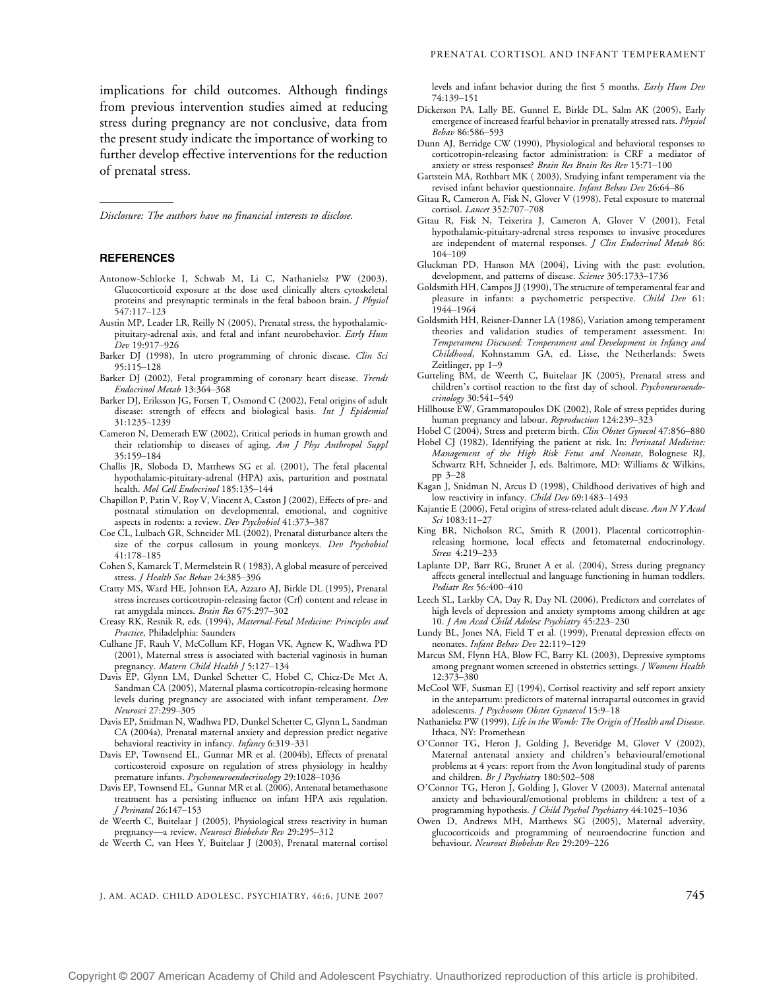implications for child outcomes. Although findings from previous intervention studies aimed at reducing stress during pregnancy are not conclusive, data from the present study indicate the importance of working to further develop effective interventions for the reduction of prenatal stress.

Disclosure: The authors have no financial interests to disclose.

## **REFERENCES**

- Antonow-Schlorke I, Schwab M, Li C, Nathanielsz PW (2003), Glucocorticoid exposure at the dose used clinically alters cytoskeletal proteins and presynaptic terminals in the fetal baboon brain. *J Physiol* 547:117-123
- Austin MP, Leader LR, Reilly N (2005), Prenatal stress, the hypothalamicpituitary-adrenal axis, and fetal and infant neurobehavior. Early Hum Dev 19:917-926
- Barker DJ (1998), In utero programming of chronic disease. Clin Sci 95:115-128
- Barker DJ (2002), Fetal programming of coronary heart disease. Trends Endocrinol Metab 13:364-368
- Barker DJ, Eriksson JG, Forsen T, Osmond C (2002), Fetal origins of adult disease: strength of effects and biological basis. Int  $\bar{J}$  Epidemiol 31:1235-1239
- Cameron N, Demerath EW (2002), Critical periods in human growth and their relationship to diseases of aging. Am J Phys Anthropol Suppl 35:159-184
- Challis JR, Sloboda D, Matthews SG et al. (2001), The fetal placental hypothalamic-pituitary-adrenal (HPA) axis, parturition and postnatal health. Mol Cell Endocrinol 185:135-144
- Chapillon P, Patin V, Roy V, Vincent A, Caston J (2002), Effects of pre- and postnatal stimulation on developmental, emotional, and cognitive aspects in rodents: a review. Dev Psychobiol 41:373-387
- Coe CL, Lulbach GR, Schneider ML (2002), Prenatal disturbance alters the size of the corpus callosum in young monkeys. Dev Psychobiol 41:178-185
- Cohen S, Kamarck T, Mermelstein R ( 1983), A global measure of perceived stress. J Health Soc Behav 24:385-396
- Cratty MS, Ward HE, Johnson EA, Azzaro AJ, Birkle DL (1995), Prenatal stress increases corticotropin-releasing factor (Crf) content and release in rat amygdala minces. Brain Res 675:297-302
- Creasy RK, Resnik R, eds. (1994), Maternal-Fetal Medicine: Principles and Practice, Philadelphia: Saunders
- Culhane JF, Rauh V, McCollum KF, Hogan VK, Agnew K, Wadhwa PD (2001), Maternal stress is associated with bacterial vaginosis in human pregnancy. Matern Child Health J 5:127-134
- Davis EP, Glynn LM, Dunkel Schetter C, Hobel C, Chicz-De Met A, Sandman CA (2005), Maternal plasma corticotropin-releasing hormone levels during pregnancy are associated with infant temperament. Dev Neurosci 27:299-305
- Davis EP, Snidman N, Wadhwa PD, Dunkel Schetter C, Glynn L, Sandman CA (2004a), Prenatal maternal anxiety and depression predict negative behavioral reactivity in infancy. Infancy 6:319-331
- Davis EP, Townsend EL, Gunnar MR et al. (2004b), Effects of prenatal corticosteroid exposure on regulation of stress physiology in healthy premature infants. Psychoneuroendocrinology 29:1028-1036
- Davis EP, Townsend EL, Gunnar MR et al. (2006), Antenatal betamethasone treatment has a persisting influence on infant HPA axis regulation. J Perinatol 26:147-153
- de Weerth C, Buitelaar J (2005), Physiological stress reactivity in human pregnancy-a review. Neurosci Biobehav Rev 29:295-312
- de Weerth C, van Hees Y, Buitelaar J (2003), Prenatal maternal cortisol

levels and infant behavior during the first 5 months. Early Hum Dev 74:139-151

- Dickerson PA, Lally BE, Gunnel E, Birkle DL, Salm AK (2005), Early emergence of increased fearful behavior in prenatally stressed rats. Physiol Behav 86:586-593
- Dunn AJ, Berridge CW (1990), Physiological and behavioral responses to corticotropin-releasing factor administration: is CRF a mediator of anxiety or stress responses? Brain Res Brain Res Rev 15:71-100
- Gartstein MA, Rothbart MK ( 2003), Studying infant temperament via the revised infant behavior questionnaire. Infant Behav Dev 26:64-86
- Gitau R, Cameron A, Fisk N, Glover V (1998), Fetal exposure to maternal cortisol. Lancet 352:707-708
- Gitau R, Fisk N, Teixerira J, Cameron A, Glover V (2001), Fetal hypothalamic-pituitary-adrenal stress responses to invasive procedures are independent of maternal responses. J Clin Endocrinol Metab 86: 104-109
- Gluckman PD, Hanson MA (2004), Living with the past: evolution, development, and patterns of disease. Science 305:1733-1736
- Goldsmith HH, Campos JJ (1990), The structure of temperamental fear and pleasure in infants: a psychometric perspective. Child Dev 61: 1944-1964
- Goldsmith HH, Reisner-Danner LA (1986), Variation among temperament theories and validation studies of temperament assessment. In: Temperament Discussed: Temperament and Development in Infancy and Childhood, Kohnstamm GA, ed. Lisse, the Netherlands: Swets Zeitlinger, pp 1-9
- Gutteling BM, de Weerth C, Buitelaar JK (2005), Prenatal stress and children's cortisol reaction to the first day of school. Psychoneuroendocrinology 30:541-549
- Hillhouse EW, Grammatopoulos DK (2002), Role of stress peptides during human pregnancy and labour. Reproduction 124:239-323
- Hobel C (2004), Stress and preterm birth. Clin Obstet Gynecol 47:856-880
- Hobel CJ (1982), Identifying the patient at risk. In: Perinatal Medicine: Management of the High Risk Fetus and Neonate, Bolognese RJ, Schwartz RH, Schneider J, eds. Baltimore, MD: Williams & Wilkins, pp 3-28
- Kagan J, Snidman N, Arcus D (1998), Childhood derivatives of high and low reactivity in infancy. Child Dev 69:1483-1493
- Kajantie E (2006), Fetal origins of stress-related adult disease. Ann N Y Acad Sci 1083:11-27
- King BR, Nicholson RC, Smith R (2001), Placental corticotrophinreleasing hormone, local effects and fetomaternal endocrinology. Stress 4:219-233
- Laplante DP, Barr RG, Brunet A et al. (2004), Stress during pregnancy affects general intellectual and language functioning in human toddlers. Pediatr Res 56:400-410
- Leech SL, Larkby CA, Day R, Day NL (2006), Predictors and correlates of high levels of depression and anxiety symptoms among children at age 10. J Am Acad Child Adolesc Psychiatry 45:223-230
- Lundy BL, Jones NA, Field T et al. (1999), Prenatal depression effects on neonates. Infant Behav Dev 22:119-129
- Marcus SM, Flynn HA, Blow FC, Barry KL (2003), Depressive symptoms among pregnant women screened in obstetrics settings. J Womens Health 12:373-380
- McCool WF, Susman EJ (1994), Cortisol reactivity and self report anxiety in the antepartum: predictors of maternal intrapartal outcomes in gravid adolescents. J Psychosom Obstet Gynaecol 15:9-18
- Nathanielsz PW (1999), Life in the Womb: The Origin of Health and Disease. Ithaca, NY: Promethean
- O'Connor TG, Heron J, Golding J, Beveridge M, Glover V (2002), Maternal antenatal anxiety and children's behavioural/emotional problems at 4 years: report from the Avon longitudinal study of parents and children. Br J Psychiatry 180:502-508
- O'Connor TG, Heron J, Golding J, Glover V (2003), Maternal antenatal anxiety and behavioural/emotional problems in children: a test of a programming hypothesis. J Child Psychol Psychiatry 44:1025-1036
- Owen D, Andrews MH, Matthews SG (2005), Maternal adversity, glucocorticoids and programming of neuroendocrine function and behaviour. Neurosci Biobehav Rev 29:209-226

J. AM. ACAD. CHILD ADOLESC. PSYCHIATRY, 46:6, JUNE 2007 745